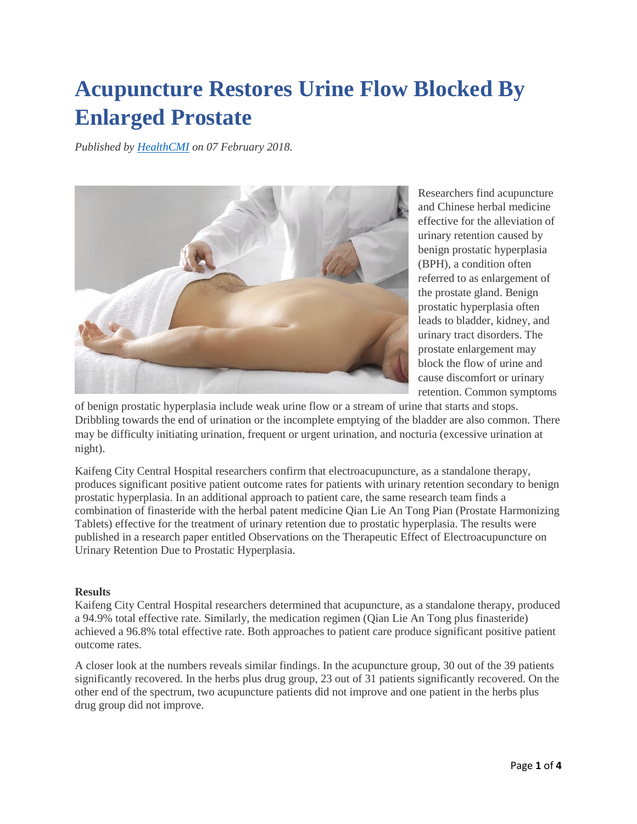# **Acupuncture Restores Urine Flow Blocked By Enlarged Prostate**

*Published by [HealthCMI](http://www.healthcmi.com/Acupuncture-Continuing-Education-News/1823-acupuncture-restores-urine-flow-blocked-by-enlarged-prostate) on 07 February 2018.*



Researchers find acupuncture and Chinese herbal medicine effective for the alleviation of urinary retention caused by benign prostatic hyperplasia (BPH), a condition often referred to as enlargement of the prostate gland. Benign prostatic hyperplasia often leads to bladder, kidney, and urinary tract disorders. The prostate enlargement may block the flow of urine and cause discomfort or urinary retention. Common symptoms

of benign prostatic hyperplasia include weak urine flow or a stream of urine that starts and stops. Dribbling towards the end of urination or the incomplete emptying of the bladder are also common. There may be difficulty initiating urination, frequent or urgent urination, and nocturia (excessive urination at night).

Kaifeng City Central Hospital researchers confirm that electroacupuncture, as a standalone therapy, produces significant positive patient outcome rates for patients with urinary retention secondary to benign prostatic hyperplasia. In an additional approach to patient care, the same research team finds a combination of finasteride with the herbal patent medicine Qian Lie An Tong Pian (Prostate Harmonizing Tablets) effective for the treatment of urinary retention due to prostatic hyperplasia. The results were published in a research paper entitled Observations on the Therapeutic Effect of Electroacupuncture on Urinary Retention Due to Prostatic Hyperplasia.

## **Results**

Kaifeng City Central Hospital researchers determined that acupuncture, as a standalone therapy, produced a 94.9% total effective rate. Similarly, the medication regimen (Qian Lie An Tong plus finasteride) achieved a 96.8% total effective rate. Both approaches to patient care produce significant positive patient outcome rates.

A closer look at the numbers reveals similar findings. In the acupuncture group, 30 out of the 39 patients significantly recovered. In the herbs plus drug group, 23 out of 31 patients significantly recovered. On the other end of the spectrum, two acupuncture patients did not improve and one patient in the herbs plus drug group did not improve.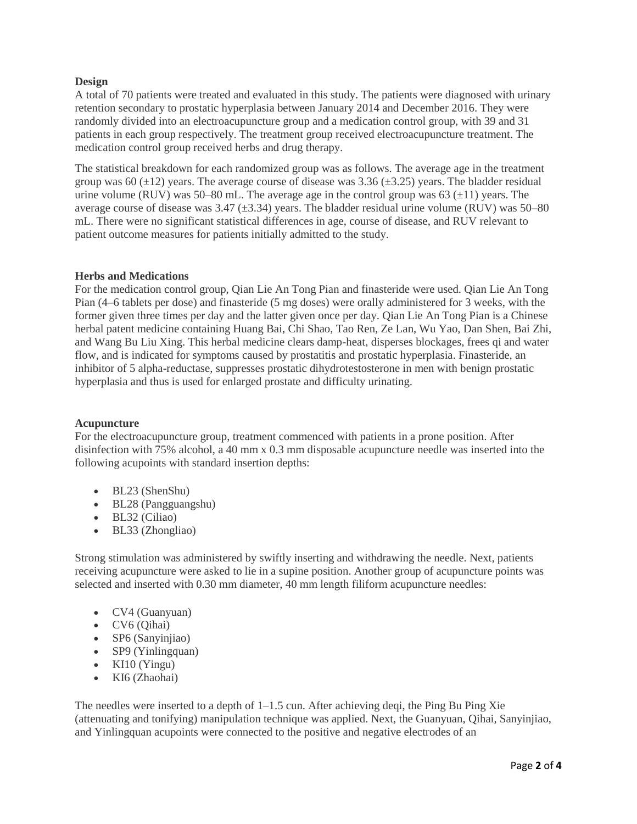## **Design**

A total of 70 patients were treated and evaluated in this study. The patients were diagnosed with urinary retention secondary to prostatic hyperplasia between January 2014 and December 2016. They were randomly divided into an electroacupuncture group and a medication control group, with 39 and 31 patients in each group respectively. The treatment group received electroacupuncture treatment. The medication control group received herbs and drug therapy.

The statistical breakdown for each randomized group was as follows. The average age in the treatment group was 60  $(\pm 12)$  years. The average course of disease was 3.36  $(\pm 3.25)$  years. The bladder residual urine volume (RUV) was 50–80 mL. The average age in the control group was 63  $(\pm 11)$  years. The average course of disease was  $3.47 \ (\pm 3.34)$  years. The bladder residual urine volume (RUV) was  $50-80$ mL. There were no significant statistical differences in age, course of disease, and RUV relevant to patient outcome measures for patients initially admitted to the study.

#### **Herbs and Medications**

For the medication control group, Qian Lie An Tong Pian and finasteride were used. Qian Lie An Tong Pian (4–6 tablets per dose) and finasteride (5 mg doses) were orally administered for 3 weeks, with the former given three times per day and the latter given once per day. Qian Lie An Tong Pian is a Chinese herbal patent medicine containing Huang Bai, Chi Shao, Tao Ren, Ze Lan, Wu Yao, Dan Shen, Bai Zhi, and Wang Bu Liu Xing. This herbal medicine clears damp-heat, disperses blockages, frees qi and water flow, and is indicated for symptoms caused by prostatitis and prostatic hyperplasia. Finasteride, an inhibitor of 5 alpha-reductase, suppresses prostatic dihydrotestosterone in men with benign prostatic hyperplasia and thus is used for enlarged prostate and difficulty urinating.

#### **Acupuncture**

For the electroacupuncture group, treatment commenced with patients in a prone position. After disinfection with 75% alcohol, a 40 mm x 0.3 mm disposable acupuncture needle was inserted into the following acupoints with standard insertion depths:

- BL23 (ShenShu)
- BL28 (Pangguangshu)
- BL32 (Ciliao)
- BL33 (Zhongliao)

Strong stimulation was administered by swiftly inserting and withdrawing the needle. Next, patients receiving acupuncture were asked to lie in a supine position. Another group of acupuncture points was selected and inserted with 0.30 mm diameter, 40 mm length filiform acupuncture needles:

- CV4 (Guanyuan)
- CV6 (Qihai)
- SP6 (Sanyinjiao)
- SP9 (Yinlingquan)
- KI10 (Yingu)
- KI6 (Zhaohai)

The needles were inserted to a depth of  $1-1.5$  cun. After achieving deqi, the Ping Bu Ping Xie (attenuating and tonifying) manipulation technique was applied. Next, the Guanyuan, Qihai, Sanyinjiao, and Yinlingquan acupoints were connected to the positive and negative electrodes of an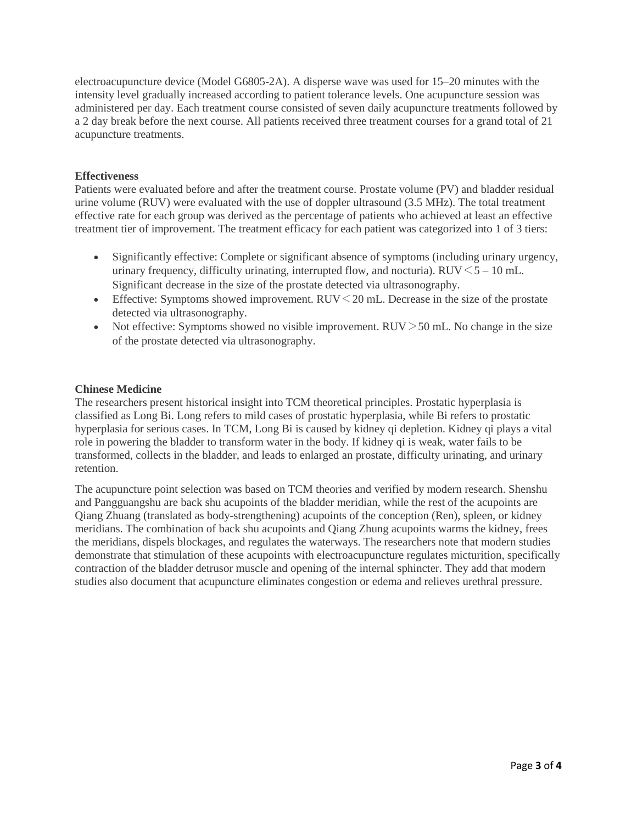electroacupuncture device (Model G6805-2A). A disperse wave was used for 15–20 minutes with the intensity level gradually increased according to patient tolerance levels. One acupuncture session was administered per day. Each treatment course consisted of seven daily acupuncture treatments followed by a 2 day break before the next course. All patients received three treatment courses for a grand total of 21 acupuncture treatments.

## **Effectiveness**

Patients were evaluated before and after the treatment course. Prostate volume (PV) and bladder residual urine volume (RUV) were evaluated with the use of doppler ultrasound (3.5 MHz). The total treatment effective rate for each group was derived as the percentage of patients who achieved at least an effective treatment tier of improvement. The treatment efficacy for each patient was categorized into 1 of 3 tiers:

- Significantly effective: Complete or significant absence of symptoms (including urinary urgency, urinary frequency, difficulty urinating, interrupted flow, and nocturia). RUV $\leq$  5 – 10 mL. Significant decrease in the size of the prostate detected via ultrasonography.
- Effective: Symptoms showed improvement.  $RUV \leq 20$  mL. Decrease in the size of the prostate detected via ultrasonography.
- Not effective: Symptoms showed no visible improvement. RUV $>$ 50 mL. No change in the size of the prostate detected via ultrasonography.

### **Chinese Medicine**

The researchers present historical insight into TCM theoretical principles. Prostatic hyperplasia is classified as Long Bi. Long refers to mild cases of prostatic hyperplasia, while Bi refers to prostatic hyperplasia for serious cases. In TCM, Long Bi is caused by kidney qi depletion. Kidney qi plays a vital role in powering the bladder to transform water in the body. If kidney qi is weak, water fails to be transformed, collects in the bladder, and leads to enlarged an prostate, difficulty urinating, and urinary retention.

The acupuncture point selection was based on TCM theories and verified by modern research. Shenshu and Pangguangshu are back shu acupoints of the bladder meridian, while the rest of the acupoints are Qiang Zhuang (translated as body-strengthening) acupoints of the conception (Ren), spleen, or kidney meridians. The combination of back shu acupoints and Qiang Zhung acupoints warms the kidney, frees the meridians, dispels blockages, and regulates the waterways. The researchers note that modern studies demonstrate that stimulation of these acupoints with electroacupuncture regulates micturition, specifically contraction of the bladder detrusor muscle and opening of the internal sphincter. They add that modern studies also document that acupuncture eliminates congestion or edema and relieves urethral pressure.